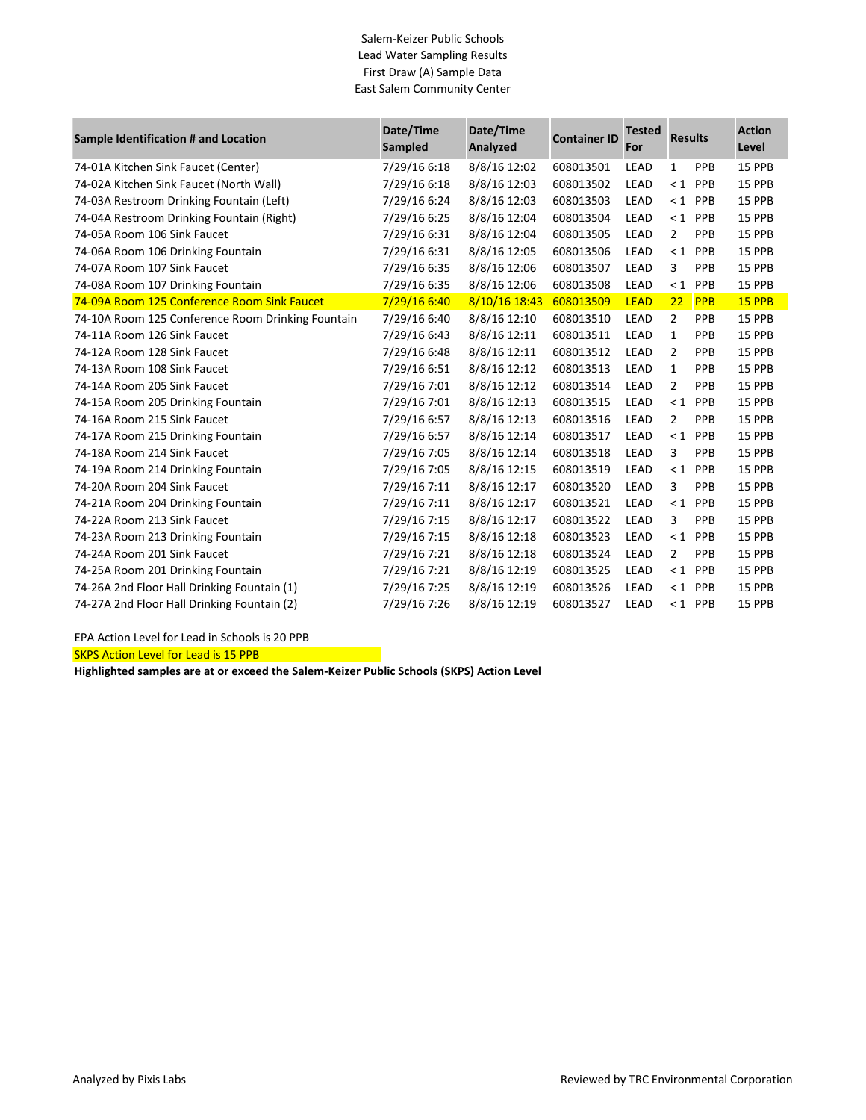## Salem-Keizer Public Schools Lead Water Sampling Results First Draw (A) Sample Data East Salem Community Center

| Sample Identification # and Location              | Date/Time<br>Sampled | Date/Time<br>Analyzed | <b>Container ID</b> | <b>Tested</b><br>For | <b>Results</b> |            | <b>Action</b><br>Level |
|---------------------------------------------------|----------------------|-----------------------|---------------------|----------------------|----------------|------------|------------------------|
| 74-01A Kitchen Sink Faucet (Center)               | 7/29/16 6:18         | 8/8/16 12:02          | 608013501           | LEAD                 | $\mathbf{1}$   | PPB        | 15 PPB                 |
| 74-02A Kitchen Sink Faucet (North Wall)           | 7/29/16 6:18         | 8/8/16 12:03          | 608013502           | LEAD                 |                | $< 1$ PPB  | 15 PPB                 |
| 74-03A Restroom Drinking Fountain (Left)          | 7/29/16 6:24         | 8/8/16 12:03          | 608013503           | LEAD                 | $\leq 1$       | <b>PPB</b> | 15 PPB                 |
| 74-04A Restroom Drinking Fountain (Right)         | 7/29/16 6:25         | 8/8/16 12:04          | 608013504           | LEAD                 |                | $< 1$ PPB  | 15 PPB                 |
| 74-05A Room 106 Sink Faucet                       | 7/29/16 6:31         | 8/8/16 12:04          | 608013505           | LEAD                 | $\overline{2}$ | PPB        | 15 PPB                 |
| 74-06A Room 106 Drinking Fountain                 | 7/29/16 6:31         | 8/8/16 12:05          | 608013506           | LEAD                 |                | $< 1$ PPB  | 15 PPB                 |
| 74-07A Room 107 Sink Faucet                       | 7/29/16 6:35         | 8/8/16 12:06          | 608013507           | LEAD                 | 3              | PPB        | 15 PPB                 |
| 74-08A Room 107 Drinking Fountain                 | 7/29/16 6:35         | 8/8/16 12:06          | 608013508           | LEAD                 |                | $< 1$ PPB  | 15 PPB                 |
| 74-09A Room 125 Conference Room Sink Faucet       | 7/29/16 6:40         | 8/10/16 18:43         | 608013509           | <b>LEAD</b>          | 22             | <b>PPB</b> | 15 PPB                 |
| 74-10A Room 125 Conference Room Drinking Fountain | 7/29/16 6:40         | 8/8/16 12:10          | 608013510           | LEAD                 | $\overline{2}$ | PPB        | 15 PPB                 |
| 74-11A Room 126 Sink Faucet                       | 7/29/16 6:43         | 8/8/16 12:11          | 608013511           | <b>LEAD</b>          | 1              | PPB        | 15 PPB                 |
| 74-12A Room 128 Sink Faucet                       | 7/29/16 6:48         | 8/8/16 12:11          | 608013512           | LEAD                 | $\overline{2}$ | PPB        | 15 PPB                 |
| 74-13A Room 108 Sink Faucet                       | 7/29/16 6:51         | 8/8/16 12:12          | 608013513           | LEAD                 | 1              | PPB        | 15 PPB                 |
| 74-14A Room 205 Sink Faucet                       | 7/29/16 7:01         | 8/8/16 12:12          | 608013514           | LEAD                 | 2              | PPB        | 15 PPB                 |
| 74-15A Room 205 Drinking Fountain                 | 7/29/16 7:01         | 8/8/16 12:13          | 608013515           | LEAD                 | $\leq 1$       | <b>PPB</b> | 15 PPB                 |
| 74-16A Room 215 Sink Faucet                       | 7/29/16 6:57         | 8/8/16 12:13          | 608013516           | LEAD                 | $\overline{2}$ | PPB        | 15 PPB                 |
| 74-17A Room 215 Drinking Fountain                 | 7/29/16 6:57         | 8/8/16 12:14          | 608013517           | LEAD                 |                | $< 1$ PPB  | 15 PPB                 |
| 74-18A Room 214 Sink Faucet                       | 7/29/16 7:05         | 8/8/16 12:14          | 608013518           | <b>LEAD</b>          | 3              | PPB        | 15 PPB                 |
| 74-19A Room 214 Drinking Fountain                 | 7/29/16 7:05         | 8/8/16 12:15          | 608013519           | LEAD                 |                | $< 1$ PPB  | 15 PPB                 |
| 74-20A Room 204 Sink Faucet                       | 7/29/16 7:11         | 8/8/16 12:17          | 608013520           | <b>LEAD</b>          | 3              | PPB        | 15 PPB                 |
| 74-21A Room 204 Drinking Fountain                 | 7/29/16 7:11         | 8/8/16 12:17          | 608013521           | LEAD                 |                | $1$ PPB    | 15 PPB                 |
| 74-22A Room 213 Sink Faucet                       | 7/29/16 7:15         | 8/8/16 12:17          | 608013522           | LEAD                 | 3              | PPB        | 15 PPB                 |
| 74-23A Room 213 Drinking Fountain                 | 7/29/16 7:15         | 8/8/16 12:18          | 608013523           | LEAD                 |                | $< 1$ PPB  | 15 PPB                 |
| 74-24A Room 201 Sink Faucet                       | 7/29/16 7:21         | 8/8/16 12:18          | 608013524           | LEAD                 | $\overline{2}$ | PPB        | 15 PPB                 |
| 74-25A Room 201 Drinking Fountain                 | 7/29/16 7:21         | 8/8/16 12:19          | 608013525           | LEAD                 |                | $< 1$ PPB  | 15 PPB                 |
| 74-26A 2nd Floor Hall Drinking Fountain (1)       | 7/29/16 7:25         | 8/8/16 12:19          | 608013526           | LEAD                 |                | $< 1$ PPB  | 15 PPB                 |
| 74-27A 2nd Floor Hall Drinking Fountain (2)       | 7/29/16 7:26         | 8/8/16 12:19          | 608013527           | LEAD                 |                | $< 1$ PPB  | 15 PPB                 |

EPA Action Level for Lead in Schools is 20 PPB

SKPS Action Level for Lead is 15 PPB

**Highlighted samples are at or exceed the Salem-Keizer Public Schools (SKPS) Action Level**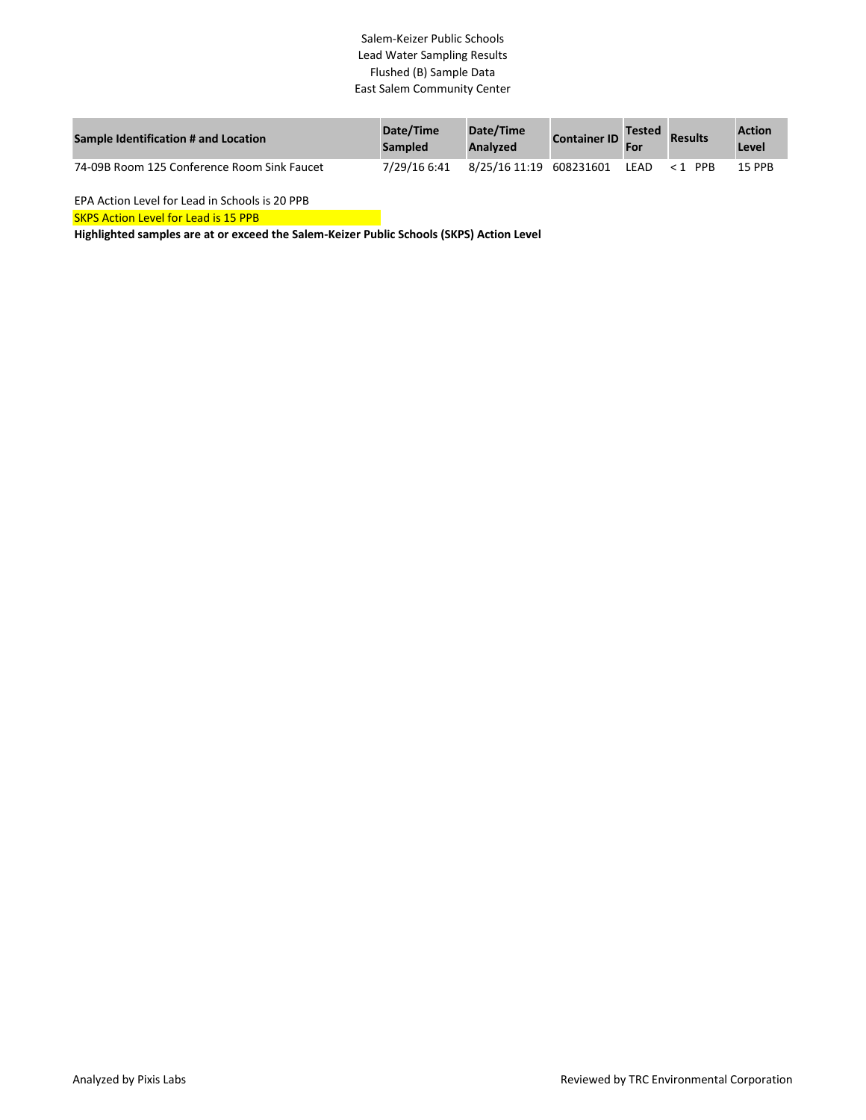## Salem-Keizer Public Schools Lead Water Sampling Results Flushed (B) Sample Data East Salem Community Center

| <b>Sample Identification # and Location</b> | Date/Time<br><b>Sampled</b> | Date/Time<br>Analyzed   | <b>Container ID</b> | <b>Tested</b> | <b>Results</b> | <b>Action</b><br>Level |
|---------------------------------------------|-----------------------------|-------------------------|---------------------|---------------|----------------|------------------------|
| 74-09B Room 125 Conference Room Sink Faucet | 7/29/16 6:41                | 8/25/16 11:19 608231601 |                     | I FAD.        | $1$ PPR        | <b>15 PPR</b>          |

EPA Action Level for Lead in Schools is 20 PPB

**SKPS Action Level for Lead is 15 PPB** 

**Highlighted samples are at or exceed the Salem-Keizer Public Schools (SKPS) Action Level**